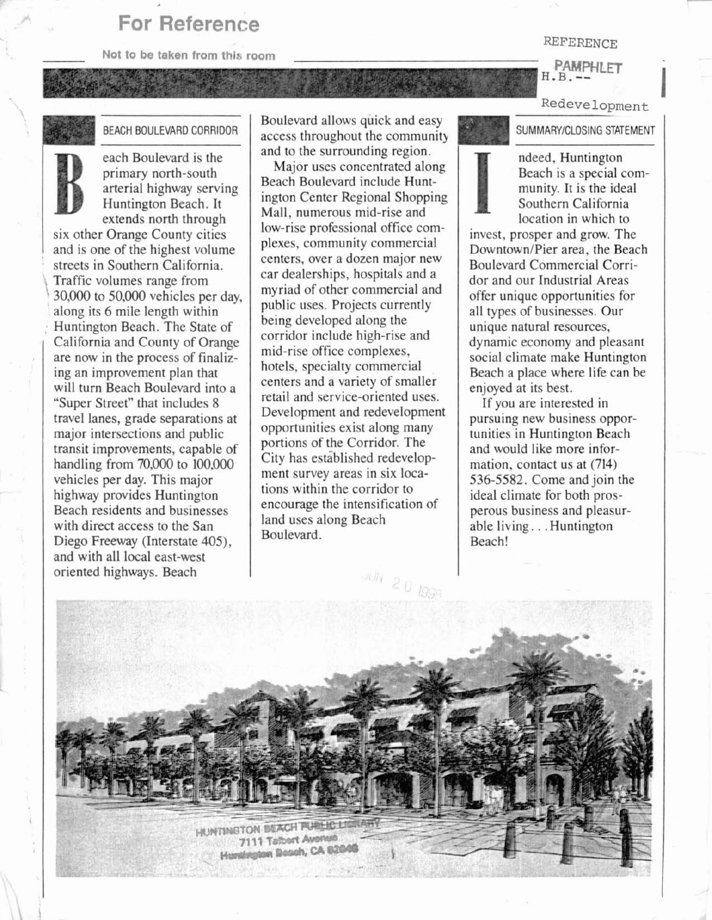## **For Reference**

**Not to be taken from this room** 

## REFERENCE

## **PAMPHLFT**  $H$ ,  $B$ ,  $-$

**Redevelopment** -

**SUMMARY/CLOSING STATEMENT** 

ndeed, Huntington Beach is a special community. It is the ideal Southern California location in which to

invest, prosper and grow. The Downtown/Pier area, the Beach Boulevard Commercial Corridor and our Industrial Areas offer unique opportunities for all types of businesses. Our unique natural resources, dynamic economy and pleasant social climate make Huntington Beach a place where life can be enjoyed at its best.

If you are interested in pursuing new business opportunities in Huntington Beach and would like more information, contact us at (714) 536-5582. Come and join the ideal climate for both prosperous business and pleasurable living. . . Huntington Beach!



each Boulevard is the primary north-south arterial highway serving Huntington Beach. It extends north through six other Orange County cities and is one of the highest volume streets in Southern California.<br>Traffic volumes range from  $30,000$  to  $50,000$  vehicles per day, along its 6 mile length within Huntington Beach. The State of California and County of Orange are now in the process of finalizing an improvement plan that will turn Beach Boulevard into a "Super Street" that includes 8 travel lanes, grade separations at major intersections and public transit improvements, capable of handling from 70,000 to 100,000 vehicles per day. This major highway provides Huntington Beach residents and businesses with direct access to the San Diego Freeway (Interstate 405), and with all local east-west

Boulevard allows quick and easy access throughout the community and to the surrounding region.

I

Major uses concentrated along Beach Boulevard include Huntington Center Regional Shopping Mall, numerous mid-rise and low-rise professional office complexes, community commercial centers, over a dozen major new car dealerships, hospitals and a myriad of other commercial and public uses. Projects currently being developed along the corridor include high-rise and mid-rise office complexes, hotels, specialty commercial centers and a variety of smaller retail and service-oriented uses. Development and redevelopment opportunities exist along many portions of the Corridor. The City has established redevelopment survey areas in six locations within the corridor to encourage the intensification of land uses along Beach Boulevard.